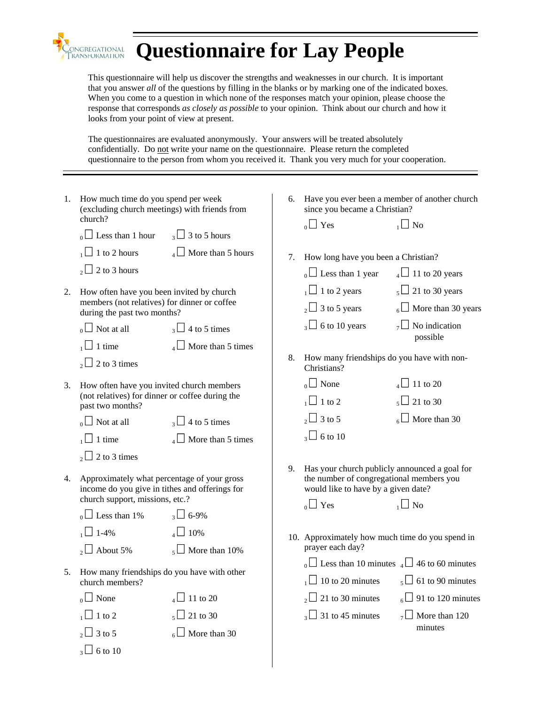

## **Questionnaire for Lay People**

This questionnaire will help us discover the strengths and weaknesses in our church. It is important that you answer *all* of the questions by filling in the blanks or by marking one of the indicated boxes. When you come to a question in which none of the responses match your opinion, please choose the response that corresponds *as closely as possible* to your opinion. Think about our church and how it looks from your point of view at present.

The questionnaires are evaluated anonymously. Your answers will be treated absolutely confidentially. Do not write your name on the questionnaire. Please return the completed questionnaire to the person from whom you received it. Thank you very much for your cooperation.

| 1. | How much time do you spend per week<br>(excluding church meetings) with friends from                                                                                                     |                                              |    | 6. Have you ever been a member of another church<br>since you became a Christian?                                                                                    |                                                                                  |  |  |  |
|----|------------------------------------------------------------------------------------------------------------------------------------------------------------------------------------------|----------------------------------------------|----|----------------------------------------------------------------------------------------------------------------------------------------------------------------------|----------------------------------------------------------------------------------|--|--|--|
|    | church?<br>$_{0}\Box$ Less than 1 hour $_{3}\Box$ 3 to 5 hours                                                                                                                           |                                              |    | $_0$ $\Box$ Yes                                                                                                                                                      | $\overline{1}$ No                                                                |  |  |  |
|    | $_2\square$ 2 to 3 hours                                                                                                                                                                 | $\Box$ 1 to 2 hours $\Box$ More than 5 hours | 7. | How long have you been a Christian?<br>$_0$ Less than 1 year                                                                                                         | $_4\Box$ 11 to 20 years                                                          |  |  |  |
| 2. | How often have you been invited by church<br>members (not relatives) for dinner or coffee<br>during the past two months?<br>$_0 \Box$ Not at all $_3 \Box$ 4 to 5 times<br>$\Box$ 1 time | $_4\Box$ More than 5 times                   | 8. | $\sqrt{11}$ to 2 years $\sqrt{5}$ 21 to 30 years<br>$_{2} \square$ 3 to 5 years<br>$_3\Box$ 6 to 10 years<br>How many friendships do you have with non-              | $_{6}$ More than 30 years<br>$\overline{Z}$ No indication<br>possible            |  |  |  |
| 3. | $_{2}$ 2 to 3 times<br>How often have you invited church members<br>(not relatives) for dinner or coffee during the<br>past two months?<br>$_0 \Box$ Not at all $_3 \Box$ 4 to 5 times   |                                              |    | Christians?<br>$_0$ None<br>$\sqrt{2}$ 1 to 2<br>$\sqrt{2}$ 3 to 5                                                                                                   | $_4\Box$ 11 to 20<br>$\sqrt{5}$ 21 to 30<br>$_6$ More than 30                    |  |  |  |
|    | $\Box$ 1 time<br>$_2\Box$ 2 to 3 times                                                                                                                                                   | $_4\Box$ More than 5 times                   |    | $\sqrt{3}$ 6 to 10                                                                                                                                                   |                                                                                  |  |  |  |
| 4. | Approximately what percentage of your gross<br>income do you give in tithes and offerings for<br>church support, missions, etc.?<br>$_0 \Box$ Less than 1% $_3 \Box$ 6-9%                |                                              | 9. | Has your church publicly announced a goal for<br>the number of congregational members you<br>would like to have by a given date?<br>$_0$ $\Box$ Yes<br>$\sqrt{2}$ No |                                                                                  |  |  |  |
|    | $\sqrt{2}$ 1-4%<br>$_2\Box$ About 5%                                                                                                                                                     | $_4\Box$ 10%<br>$\overline{5}$ More than 10% |    | 10. Approximately how much time do you spend in<br>prayer each day?<br>$_0$ Less than 10 minutes $_4$ $\Box$ 46 to 60 minutes                                        |                                                                                  |  |  |  |
| 5. | How many friendships do you have with other<br>church members?                                                                                                                           |                                              |    | $\Box$ 10 to 20 minutes                                                                                                                                              | $_5\Box$ 61 to 90 minutes                                                        |  |  |  |
|    | $_0$ None<br>$\sqrt{2}$ 1 to 2                                                                                                                                                           | $_4\Box$ 11 to 20<br>$\sqrt{5}$ 21 to 30     |    | $\sqrt{3}$ 31 to 45 minutes                                                                                                                                          | $_{2}$ 21 to 30 minutes $_{6}$ 91 to 120 minutes<br>$\overline{7}$ More than 120 |  |  |  |
|    | $\sqrt{2}$ 3 to 5<br>$\sqrt{3}$ 6 to 10                                                                                                                                                  | $_6$ More than 30                            |    |                                                                                                                                                                      | minutes                                                                          |  |  |  |
|    |                                                                                                                                                                                          |                                              |    |                                                                                                                                                                      |                                                                                  |  |  |  |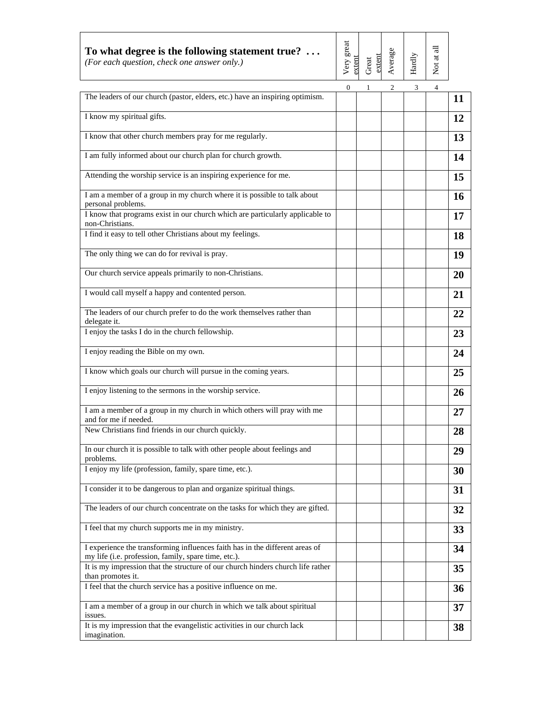| To what degree is the following statement true? $\dots$<br>(For each question, check one answer only.)                               | Very great<br>extent | Great<br>extent | Average | Hardly | Not at all     |           |
|--------------------------------------------------------------------------------------------------------------------------------------|----------------------|-----------------|---------|--------|----------------|-----------|
| The leaders of our church (pastor, elders, etc.) have an inspiring optimism.                                                         | $\mathbf{0}$         |                 | 2       | 3      | $\overline{4}$ | <b>11</b> |
| I know my spiritual gifts.                                                                                                           |                      |                 |         |        |                | 12        |
| I know that other church members pray for me regularly.                                                                              |                      |                 |         |        |                | 13        |
| I am fully informed about our church plan for church growth.                                                                         |                      |                 |         |        |                | 14        |
| Attending the worship service is an inspiring experience for me.                                                                     |                      |                 |         |        |                | 15        |
| I am a member of a group in my church where it is possible to talk about<br>personal problems.                                       |                      |                 |         |        |                | 16        |
| I know that programs exist in our church which are particularly applicable to<br>non-Christians.                                     |                      |                 |         |        |                | 17        |
| I find it easy to tell other Christians about my feelings.                                                                           |                      |                 |         |        |                | <b>18</b> |
| The only thing we can do for revival is pray.                                                                                        |                      |                 |         |        |                | 19        |
| Our church service appeals primarily to non-Christians.                                                                              |                      |                 |         |        |                | 20        |
| I would call myself a happy and contented person.                                                                                    |                      |                 |         |        |                | 21        |
| The leaders of our church prefer to do the work themselves rather than<br>delegate it.                                               |                      |                 |         |        |                | 22        |
| I enjoy the tasks I do in the church fellowship.                                                                                     |                      |                 |         |        |                | 23        |
| I enjoy reading the Bible on my own.                                                                                                 |                      |                 |         |        |                | 24        |
| I know which goals our church will pursue in the coming years.                                                                       |                      |                 |         |        |                | 25        |
| I enjoy listening to the sermons in the worship service.                                                                             |                      |                 |         |        |                | 26        |
| I am a member of a group in my church in which others will pray with me<br>and for me if needed.                                     |                      |                 |         |        |                | 27        |
| New Christians find friends in our church quickly.                                                                                   |                      |                 |         |        |                | 28        |
| In our church it is possible to talk with other people about feelings and<br>problems.                                               |                      |                 |         |        |                | 29        |
| I enjoy my life (profession, family, spare time, etc.).                                                                              |                      |                 |         |        |                | 30        |
| I consider it to be dangerous to plan and organize spiritual things.                                                                 |                      |                 |         |        |                | 31        |
| The leaders of our church concentrate on the tasks for which they are gifted.                                                        |                      |                 |         |        |                | 32        |
| I feel that my church supports me in my ministry.                                                                                    |                      |                 |         |        |                | 33        |
| I experience the transforming influences faith has in the different areas of<br>my life (i.e. profession, family, spare time, etc.). |                      |                 |         |        |                | 34        |
| It is my impression that the structure of our church hinders church life rather<br>than promotes it.                                 |                      |                 |         |        |                | 35        |
| I feel that the church service has a positive influence on me.                                                                       |                      |                 |         |        |                | 36        |
| I am a member of a group in our church in which we talk about spiritual<br>issues.                                                   |                      |                 |         |        |                | 37        |
| It is my impression that the evangelistic activities in our church lack<br>imagination.                                              |                      |                 |         |        |                | 38        |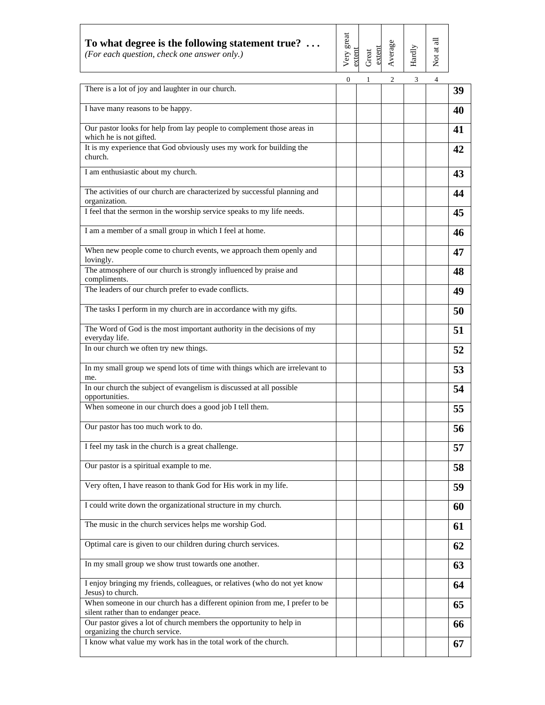| To what degree is the following statement true? $\dots$<br>(For each question, check one answer only.)              | Very great<br>extent | extent<br>Great | Average | Hardly | Not at all     |    |
|---------------------------------------------------------------------------------------------------------------------|----------------------|-----------------|---------|--------|----------------|----|
| There is a lot of joy and laughter in our church.                                                                   | $\mathbf{0}$         | 1               | 2       | 3      | $\overline{4}$ | 39 |
| I have many reasons to be happy.                                                                                    |                      |                 |         |        |                | 40 |
| Our pastor looks for help from lay people to complement those areas in<br>which he is not gifted.                   |                      |                 |         |        |                | 41 |
| It is my experience that God obviously uses my work for building the<br>church.                                     |                      |                 |         |        |                | 42 |
| I am enthusiastic about my church.                                                                                  |                      |                 |         |        |                | 43 |
| The activities of our church are characterized by successful planning and<br>organization.                          |                      |                 |         |        |                | 44 |
| I feel that the sermon in the worship service speaks to my life needs.                                              |                      |                 |         |        |                | 45 |
| I am a member of a small group in which I feel at home.                                                             |                      |                 |         |        |                | 46 |
| When new people come to church events, we approach them openly and<br>lovingly.                                     |                      |                 |         |        |                | 47 |
| The atmosphere of our church is strongly influenced by praise and<br>compliments.                                   |                      |                 |         |        |                | 48 |
| The leaders of our church prefer to evade conflicts.                                                                |                      |                 |         |        |                | 49 |
| The tasks I perform in my church are in accordance with my gifts.                                                   |                      |                 |         |        |                | 50 |
| The Word of God is the most important authority in the decisions of my<br>everyday life.                            |                      |                 |         |        |                | 51 |
| In our church we often try new things.                                                                              |                      |                 |         |        |                | 52 |
| In my small group we spend lots of time with things which are irrelevant to<br>me.                                  |                      |                 |         |        |                | 53 |
| In our church the subject of evangelism is discussed at all possible<br>opportunities.                              |                      |                 |         |        |                | 54 |
| When someone in our church does a good job I tell them.                                                             |                      |                 |         |        |                | 55 |
| Our pastor has too much work to do.                                                                                 |                      |                 |         |        |                | 56 |
| I feel my task in the church is a great challenge.                                                                  |                      |                 |         |        |                | 57 |
| Our pastor is a spiritual example to me.                                                                            |                      |                 |         |        |                | 58 |
| Very often, I have reason to thank God for His work in my life.                                                     |                      |                 |         |        |                | 59 |
| I could write down the organizational structure in my church.                                                       |                      |                 |         |        |                | 60 |
| The music in the church services helps me worship God.                                                              |                      |                 |         |        |                | 61 |
| Optimal care is given to our children during church services.                                                       |                      |                 |         |        |                | 62 |
| In my small group we show trust towards one another.                                                                |                      |                 |         |        |                | 63 |
| I enjoy bringing my friends, colleagues, or relatives (who do not yet know<br>Jesus) to church.                     |                      |                 |         |        |                | 64 |
| When someone in our church has a different opinion from me, I prefer to be<br>silent rather than to endanger peace. |                      |                 |         |        |                | 65 |
| Our pastor gives a lot of church members the opportunity to help in<br>organizing the church service.               |                      |                 |         |        |                | 66 |
| I know what value my work has in the total work of the church.                                                      |                      |                 |         |        |                | 67 |